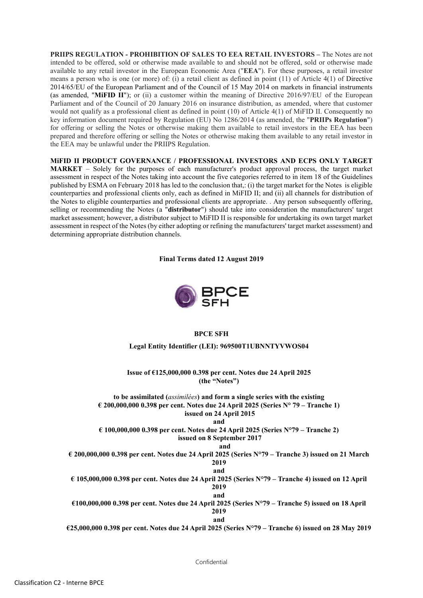PRIIPS REGULATION - PROHIBITION OF SALES TO EEA RETAIL INVESTORS – The Notes are not intended to be offered, sold or otherwise made available to and should not be offered, sold or otherwise made available to any retail investor in the European Economic Area ("EEA"). For these purposes, a retail investor means a person who is one (or more) of: (i) a retail client as defined in point (11) of Article 4(1) of Directive 2014/65/EU of the European Parliament and of the Council of 15 May 2014 on markets in financial instruments (as amended, "MiFID II"); or (ii) a customer within the meaning of Directive 2016/97/EU of the European Parliament and of the Council of 20 January 2016 on insurance distribution, as amended, where that customer would not qualify as a professional client as defined in point (10) of Article 4(1) of MiFID II. Consequently no key information document required by Regulation (EU) No 1286/2014 (as amended, the "PRIIPs Regulation") for offering or selling the Notes or otherwise making them available to retail investors in the EEA has been prepared and therefore offering or selling the Notes or otherwise making them available to any retail investor in the EEA may be unlawful under the PRIIPS Regulation.

MiFID II PRODUCT GOVERNANCE / PROFESSIONAL INVESTORS AND ECPS ONLY TARGET MARKET – Solely for the purposes of each manufacturer's product approval process, the target market assessment in respect of the Notes taking into account the five categories referred to in item 18 of the Guidelines published by ESMA on February 2018 has led to the conclusion that,: (i) the target market for the Notes is eligible counterparties and professional clients only, each as defined in MiFID II; and (ii) all channels for distribution of the Notes to eligible counterparties and professional clients are appropriate. . Any person subsequently offering, selling or recommending the Notes (a "distributor") should take into consideration the manufacturers' target market assessment; however, a distributor subject to MiFID II is responsible for undertaking its own target market assessment in respect of the Notes (by either adopting or refining the manufacturers' target market assessment) and determining appropriate distribution channels.

Final Terms dated 12 August 2019



## BPCE SFH

Legal Entity Identifier (LEI): 969500T1UBNNTYVWOS04

Issue of €125,000,000 0.398 per cent. Notes due 24 April 2025 (the "Notes")

to be assimilated (assimilées) and form a single series with the existing € 200,000,000 0.398 per cent. Notes due 24 April 2025 (Series  $N^{\circ}$  79 – Tranche 1) issued on 24 April 2015

and

 $\epsilon$  100,000,000 0.398 per cent. Notes due 24 April 2025 (Series N°79 – Tranche 2) issued on 8 September 2017

and

€ 200,000,000 0.398 per cent. Notes due 24 April 2025 (Series N°79 – Tranche 3) issued on 21 March 2019 and

€ 105,000,000 0.398 per cent. Notes due 24 April 2025 (Series N°79 – Tranche 4) issued on 12 April 2019 and

€100,000,000 0.398 per cent. Notes due 24 April 2025 (Series N°79 – Tranche 5) issued on 18 April 2019

and

€25,000,000 0.398 per cent. Notes due 24 April 2025 (Series N°79 – Tranche 6) issued on 28 May 2019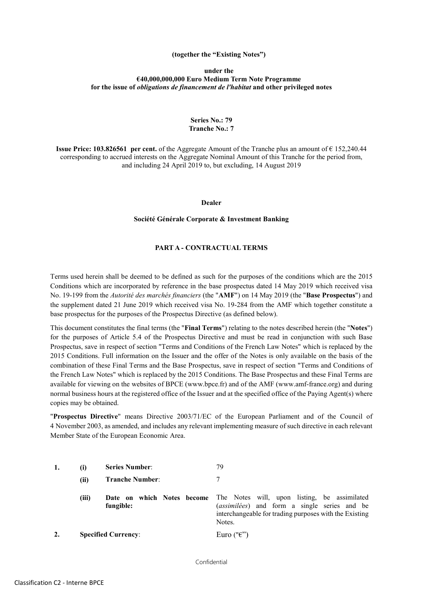### (together the "Existing Notes")

### under the €40,000,000,000 Euro Medium Term Note Programme for the issue of obligations de financement de l'habitat and other privileged notes

## Series No.: 79 Tranche No.: 7

Issue Price: 103.826561 per cent. of the Aggregate Amount of the Tranche plus an amount of € 152,240.44 corresponding to accrued interests on the Aggregate Nominal Amount of this Tranche for the period from, and including 24 April 2019 to, but excluding, 14 August 2019

### Dealer

### Société Générale Corporate & Investment Banking

## PART A - CONTRACTUAL TERMS

Terms used herein shall be deemed to be defined as such for the purposes of the conditions which are the 2015 Conditions which are incorporated by reference in the base prospectus dated 14 May 2019 which received visa No. 19-199 from the Autorité des marchés financiers (the "AMF") on 14 May 2019 (the "Base Prospectus") and the supplement dated 21 June 2019 which received visa No. 19-284 from the AMF which together constitute a base prospectus for the purposes of the Prospectus Directive (as defined below).

This document constitutes the final terms (the "Final Terms") relating to the notes described herein (the "Notes") for the purposes of Article 5.4 of the Prospectus Directive and must be read in conjunction with such Base Prospectus, save in respect of section "Terms and Conditions of the French Law Notes" which is replaced by the 2015 Conditions. Full information on the Issuer and the offer of the Notes is only available on the basis of the combination of these Final Terms and the Base Prospectus, save in respect of section "Terms and Conditions of the French Law Notes" which is replaced by the 2015 Conditions. The Base Prospectus and these Final Terms are available for viewing on the websites of BPCE (www.bpce.fr) and of the AMF (www.amf-france.org) and during normal business hours at the registered office of the Issuer and at the specified office of the Paying Agent(s) where copies may be obtained.

"Prospectus Directive" means Directive 2003/71/EC of the European Parliament and of the Council of 4 November 2003, as amended, and includes any relevant implementing measure of such directive in each relevant Member State of the European Economic Area.

| $\bf(i)$ | <b>Series Number:</b>      | 79                                                                                                                                                                                                 |
|----------|----------------------------|----------------------------------------------------------------------------------------------------------------------------------------------------------------------------------------------------|
| (ii)     | <b>Tranche Number:</b>     |                                                                                                                                                                                                    |
| (iii)    | fungible:                  | <b>Date on which Notes become</b> The Notes will, upon listing, be assimilated<br>(assimilées) and form a single series and be<br>interchangeable for trading purposes with the Existing<br>Notes. |
|          | <b>Specified Currency:</b> | Euro (" $\varepsilon$ ")                                                                                                                                                                           |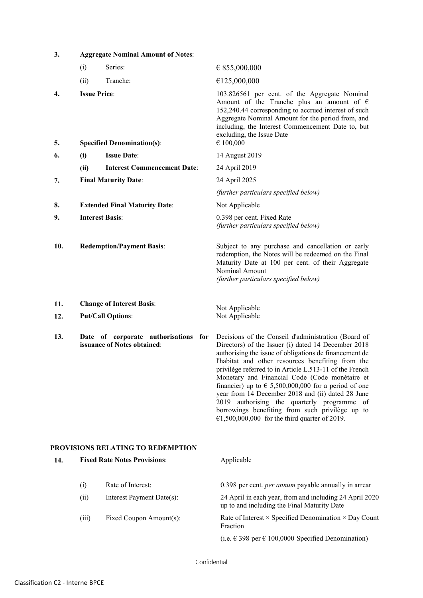| 3.<br><b>Aggregate Nominal Amount of Notes:</b> |                     |                                                                     |                                                                                                                                                                                                                                                                                                                                                                                                                                                                                                                                                                                                                 |
|-------------------------------------------------|---------------------|---------------------------------------------------------------------|-----------------------------------------------------------------------------------------------------------------------------------------------------------------------------------------------------------------------------------------------------------------------------------------------------------------------------------------------------------------------------------------------------------------------------------------------------------------------------------------------------------------------------------------------------------------------------------------------------------------|
|                                                 | (i)                 | Series:                                                             | € 855,000,000                                                                                                                                                                                                                                                                                                                                                                                                                                                                                                                                                                                                   |
|                                                 | (ii)                | Tranche:                                                            | €125,000,000                                                                                                                                                                                                                                                                                                                                                                                                                                                                                                                                                                                                    |
| 4.<br>5.                                        | <b>Issue Price:</b> | <b>Specified Denomination(s):</b>                                   | 103.826561 per cent. of the Aggregate Nominal<br>Amount of the Tranche plus an amount of $\epsilon$<br>152,240.44 corresponding to accrued interest of such<br>Aggregate Nominal Amount for the period from, and<br>including, the Interest Commencement Date to, but<br>excluding, the Issue Date<br>€ 100,000                                                                                                                                                                                                                                                                                                 |
| 6.                                              | (i)                 | <b>Issue Date:</b>                                                  | 14 August 2019                                                                                                                                                                                                                                                                                                                                                                                                                                                                                                                                                                                                  |
|                                                 | (ii)                | <b>Interest Commencement Date:</b>                                  | 24 April 2019                                                                                                                                                                                                                                                                                                                                                                                                                                                                                                                                                                                                   |
| 7.                                              |                     | <b>Final Maturity Date:</b>                                         | 24 April 2025                                                                                                                                                                                                                                                                                                                                                                                                                                                                                                                                                                                                   |
|                                                 |                     |                                                                     | (further particulars specified below)                                                                                                                                                                                                                                                                                                                                                                                                                                                                                                                                                                           |
| 8.                                              |                     | <b>Extended Final Maturity Date:</b>                                | Not Applicable                                                                                                                                                                                                                                                                                                                                                                                                                                                                                                                                                                                                  |
| 9.                                              |                     | <b>Interest Basis:</b>                                              | 0.398 per cent. Fixed Rate<br>(further particulars specified below)                                                                                                                                                                                                                                                                                                                                                                                                                                                                                                                                             |
| 10.                                             |                     | <b>Redemption/Payment Basis:</b>                                    | Subject to any purchase and cancellation or early<br>redemption, the Notes will be redeemed on the Final<br>Maturity Date at 100 per cent. of their Aggregate<br>Nominal Amount<br>(further particulars specified below)                                                                                                                                                                                                                                                                                                                                                                                        |
| 11.<br>12.                                      |                     | <b>Change of Interest Basis:</b><br><b>Put/Call Options:</b>        | Not Applicable<br>Not Applicable                                                                                                                                                                                                                                                                                                                                                                                                                                                                                                                                                                                |
| 13.                                             |                     | Date of corporate authorisations for<br>issuance of Notes obtained: | Decisions of the Conseil d'administration (Board of<br>Directors) of the Issuer (i) dated 14 December 2018<br>authorising the issue of obligations de financement de<br>l'habitat and other resources benefiting from the<br>privilège referred to in Article L.513-11 of the French<br>Monetary and Financial Code (Code monétaire et<br>financier) up to $\epsilon$ 5,500,000,000 for a period of one<br>year from 14 December 2018 and (ii) dated 28 June<br>2019 authorising the quarterly programme of<br>borrowings benefiting from such privilège up to<br>€1,500,000,000 for the third quarter of 2019. |

# PROVISIONS RELATING TO REDEMPTION

| 14. | <b>Fixed Rate Notes Provisions:</b> |                           | Applicable                                                                                             |  |
|-----|-------------------------------------|---------------------------|--------------------------------------------------------------------------------------------------------|--|
|     | (i)                                 | Rate of Interest:         | 0.398 per cent. <i>per annum</i> payable annually in arrear                                            |  |
|     | (ii)                                | Interest Payment Date(s): | 24 April in each year, from and including 24 April 2020<br>up to and including the Final Maturity Date |  |
|     | (iii)                               | Fixed Coupon Amount(s):   | Rate of Interest $\times$ Specified Denomination $\times$ Day Count<br>Fraction                        |  |
|     |                                     |                           | (i.e. $\in$ 398 per $\in$ 100,0000 Specified Denomination)                                             |  |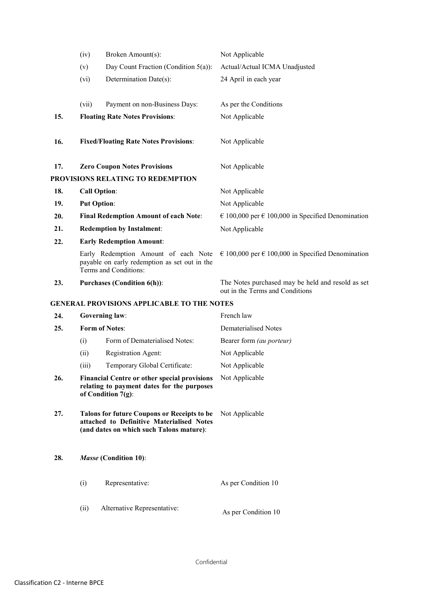|                              | (iv)                                                                                                                                 | Broken Amount(s):                                                                                                       | Not Applicable                                                                       |
|------------------------------|--------------------------------------------------------------------------------------------------------------------------------------|-------------------------------------------------------------------------------------------------------------------------|--------------------------------------------------------------------------------------|
|                              | (v)                                                                                                                                  | Day Count Fraction (Condition 5(a)):                                                                                    | Actual/Actual ICMA Unadjusted                                                        |
|                              | (vi)                                                                                                                                 | Determination Date(s):                                                                                                  | 24 April in each year                                                                |
|                              | (vii)                                                                                                                                | Payment on non-Business Days:                                                                                           | As per the Conditions                                                                |
| 15.                          |                                                                                                                                      | <b>Floating Rate Notes Provisions:</b>                                                                                  | Not Applicable                                                                       |
| 16.                          |                                                                                                                                      | <b>Fixed/Floating Rate Notes Provisions:</b>                                                                            | Not Applicable                                                                       |
| 17.                          |                                                                                                                                      | <b>Zero Coupon Notes Provisions</b>                                                                                     | Not Applicable                                                                       |
|                              |                                                                                                                                      | PROVISIONS RELATING TO REDEMPTION                                                                                       |                                                                                      |
| 18.                          |                                                                                                                                      | <b>Call Option:</b>                                                                                                     | Not Applicable                                                                       |
| 19.                          | <b>Put Option:</b>                                                                                                                   |                                                                                                                         | Not Applicable                                                                       |
| 20.                          |                                                                                                                                      | <b>Final Redemption Amount of each Note:</b>                                                                            | $\epsilon$ 100,000 per $\epsilon$ 100,000 in Specified Denomination                  |
| 21.                          |                                                                                                                                      | <b>Redemption by Instalment:</b>                                                                                        | Not Applicable                                                                       |
| 22.                          |                                                                                                                                      | <b>Early Redemption Amount:</b>                                                                                         |                                                                                      |
|                              |                                                                                                                                      | Early Redemption Amount of each Note<br>payable on early redemption as set out in the<br>Terms and Conditions:          | € 100,000 per € 100,000 in Specified Denomination                                    |
| 23.                          |                                                                                                                                      | <b>Purchases (Condition 6(h)):</b>                                                                                      | The Notes purchased may be held and resold as set<br>out in the Terms and Conditions |
|                              |                                                                                                                                      | <b>GENERAL PROVISIONS APPLICABLE TO THE NOTES</b>                                                                       |                                                                                      |
| 24.                          | <b>Governing law:</b>                                                                                                                |                                                                                                                         | French law                                                                           |
| <b>Form of Notes:</b><br>25. |                                                                                                                                      |                                                                                                                         | <b>Dematerialised Notes</b>                                                          |
|                              | (i)                                                                                                                                  | Form of Dematerialised Notes:                                                                                           | Bearer form (au porteur)                                                             |
|                              | (ii)                                                                                                                                 | Registration Agent:                                                                                                     | Not Applicable                                                                       |
|                              | (iii)                                                                                                                                | Temporary Global Certificate:                                                                                           | Not Applicable                                                                       |
| 26.                          |                                                                                                                                      | <b>Financial Centre or other special provisions</b><br>relating to payment dates for the purposes<br>of Condition 7(g): | Not Applicable                                                                       |
| 27.                          | Talons for future Coupons or Receipts to be<br>attached to Definitive Materialised Notes<br>(and dates on which such Talons mature): |                                                                                                                         | Not Applicable                                                                       |
| Masse (Condition 10):<br>28. |                                                                                                                                      |                                                                                                                         |                                                                                      |
|                              | (i)                                                                                                                                  | Representative:                                                                                                         | As per Condition 10                                                                  |
|                              | (ii)                                                                                                                                 | Alternative Representative:                                                                                             | As per Condition 10                                                                  |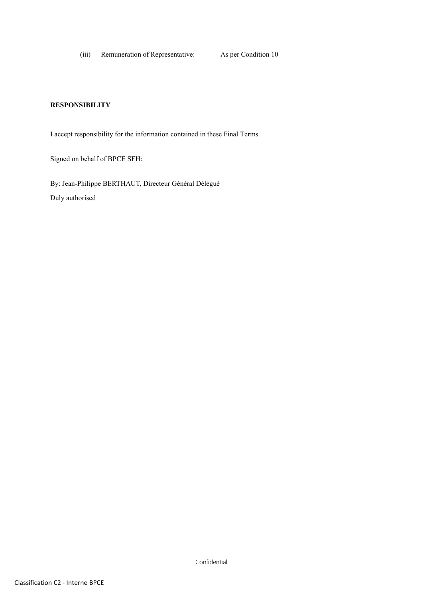(iii) Remuneration of Representative: As per Condition 10

## **RESPONSIBILITY**

I accept responsibility for the information contained in these Final Terms.

Signed on behalf of BPCE SFH:

By: Jean-Philippe BERTHAUT, Directeur Général Délégué Duly authorised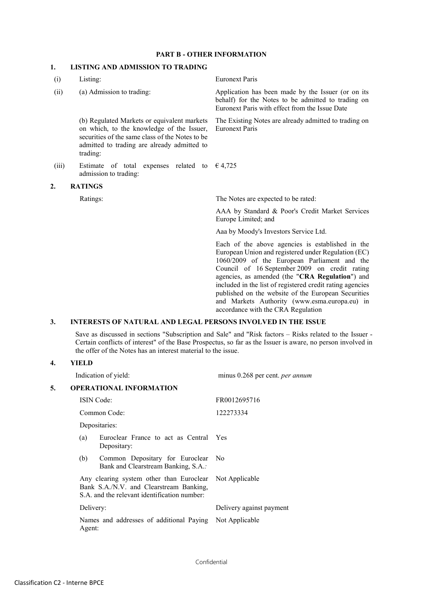### PART **B** - OTHER INFORMATION

# 1. LISTING AND ADMISSION TO TRADING

| (i)   | Listing:                                                                                                                                                                                               | <b>Euronext Paris</b>                                                                                                                                                                                                                                                                                                                                                                                                                                                  |  |
|-------|--------------------------------------------------------------------------------------------------------------------------------------------------------------------------------------------------------|------------------------------------------------------------------------------------------------------------------------------------------------------------------------------------------------------------------------------------------------------------------------------------------------------------------------------------------------------------------------------------------------------------------------------------------------------------------------|--|
| (ii)  | (a) Admission to trading:                                                                                                                                                                              | Application has been made by the Issuer (or on its<br>behalf) for the Notes to be admitted to trading on<br>Euronext Paris with effect from the Issue Date                                                                                                                                                                                                                                                                                                             |  |
|       | (b) Regulated Markets or equivalent markets<br>on which, to the knowledge of the Issuer,<br>securities of the same class of the Notes to be<br>admitted to trading are already admitted to<br>trading: | The Existing Notes are already admitted to trading on<br><b>Euronext Paris</b>                                                                                                                                                                                                                                                                                                                                                                                         |  |
| (iii) | Estimate of total expenses related to<br>admission to trading:                                                                                                                                         | $\epsilon$ 4,725                                                                                                                                                                                                                                                                                                                                                                                                                                                       |  |
| 2.    | <b>RATINGS</b>                                                                                                                                                                                         |                                                                                                                                                                                                                                                                                                                                                                                                                                                                        |  |
|       | Ratings:                                                                                                                                                                                               | The Notes are expected to be rated:                                                                                                                                                                                                                                                                                                                                                                                                                                    |  |
|       |                                                                                                                                                                                                        | AAA by Standard & Poor's Credit Market Services<br>Europe Limited; and                                                                                                                                                                                                                                                                                                                                                                                                 |  |
|       |                                                                                                                                                                                                        | Aaa by Moody's Investors Service Ltd.                                                                                                                                                                                                                                                                                                                                                                                                                                  |  |
|       |                                                                                                                                                                                                        | Each of the above agencies is established in the<br>European Union and registered under Regulation (EC)<br>1060/2009 of the European Parliament and the<br>Council of 16 September 2009 on credit rating<br>agencies, as amended (the "CRA Regulation") and<br>included in the list of registered credit rating agencies<br>published on the website of the European Securities<br>and Markets Authority (www.esma.europa.eu) in<br>accordance with the CRA Regulation |  |

### 3. INTERESTS OF NATURAL AND LEGAL PERSONS INVOLVED IN THE ISSUE

Save as discussed in sections "Subscription and Sale" and "Risk factors – Risks related to the Issuer - Certain conflicts of interest" of the Base Prospectus, so far as the Issuer is aware, no person involved in the offer of the Notes has an interest material to the issue.

## 4. YIELD

|    |                                                                                                                                                                 | Indication of yield:                                                   | minus 0.268 per cent. per annum |  |
|----|-----------------------------------------------------------------------------------------------------------------------------------------------------------------|------------------------------------------------------------------------|---------------------------------|--|
| 5. | <b>OPERATIONAL INFORMATION</b>                                                                                                                                  |                                                                        |                                 |  |
|    | <b>ISIN</b> Code:<br>Common Code:<br>Depositaries:                                                                                                              |                                                                        | FR0012695716                    |  |
|    |                                                                                                                                                                 |                                                                        | 122273334                       |  |
|    |                                                                                                                                                                 |                                                                        |                                 |  |
|    | (a)                                                                                                                                                             | Euroclear France to act as Central Yes<br>Depositary:                  |                                 |  |
|    | (b)                                                                                                                                                             | Common Depositary for Euroclear<br>Bank and Clearstream Banking, S.A.: | - No                            |  |
|    | Any clearing system other than Euroclear Not Applicable<br>Bank S.A./N.V. and Clearstream Banking,<br>S.A. and the relevant identification number:<br>Delivery: |                                                                        |                                 |  |
|    |                                                                                                                                                                 |                                                                        | Delivery against payment        |  |
|    | Agent:                                                                                                                                                          | Names and addresses of additional Paying Not Applicable                |                                 |  |